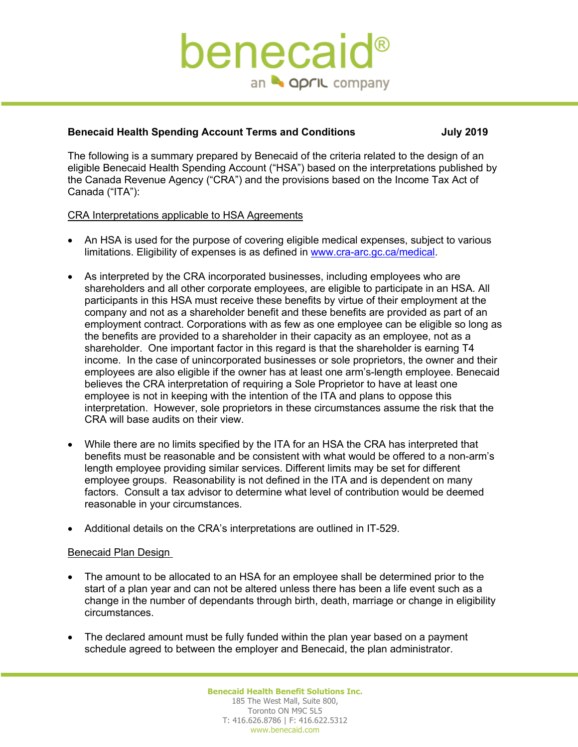## benecaic an **A april** company

## **Benecaid Health Spending Account Terms and Conditions July 2019**

The following is a summary prepared by Benecaid of the criteria related to the design of an eligible Benecaid Health Spending Account ("HSA") based on the interpretations published by the Canada Revenue Agency ("CRA") and the provisions based on the Income Tax Act of Canada ("ITA"):

## CRA Interpretations applicable to HSA Agreements

- An HSA is used for the purpose of covering eligible medical expenses, subject to various limitations. Eligibility of expenses is as defined in www.cra-arc.gc.ca/medical.
- As interpreted by the CRA incorporated businesses, including employees who are shareholders and all other corporate employees, are eligible to participate in an HSA. All participants in this HSA must receive these benefits by virtue of their employment at the company and not as a shareholder benefit and these benefits are provided as part of an employment contract. Corporations with as few as one employee can be eligible so long as the benefits are provided to a shareholder in their capacity as an employee, not as a shareholder. One important factor in this regard is that the shareholder is earning T4 income. In the case of unincorporated businesses or sole proprietors, the owner and their employees are also eligible if the owner has at least one arm's-length employee. Benecaid believes the CRA interpretation of requiring a Sole Proprietor to have at least one employee is not in keeping with the intention of the ITA and plans to oppose this interpretation. However, sole proprietors in these circumstances assume the risk that the CRA will base audits on their view.
- While there are no limits specified by the ITA for an HSA the CRA has interpreted that benefits must be reasonable and be consistent with what would be offered to a non-arm's length employee providing similar services. Different limits may be set for different employee groups. Reasonability is not defined in the ITA and is dependent on many factors. Consult a tax advisor to determine what level of contribution would be deemed reasonable in your circumstances.
- Additional details on the CRA's interpretations are outlined in IT-529.

## Benecaid Plan Design

- The amount to be allocated to an HSA for an employee shall be determined prior to the start of a plan year and can not be altered unless there has been a life event such as a change in the number of dependants through birth, death, marriage or change in eligibility circumstances.
- The declared amount must be fully funded within the plan year based on a payment schedule agreed to between the employer and Benecaid, the plan administrator.